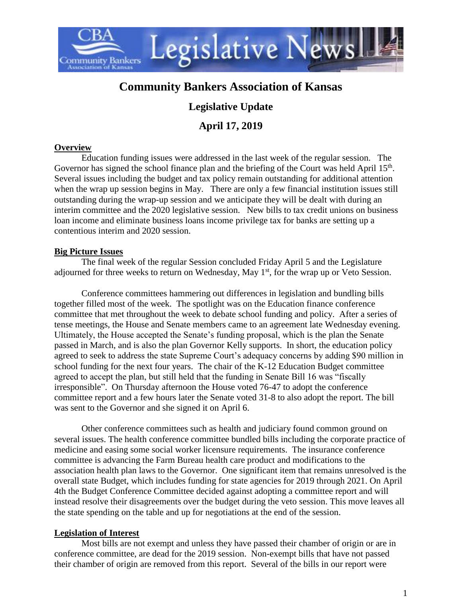

# **Community Bankers Association of Kansas**

## **Legislative Update**

## **April 17, 2019**

#### **Overview**

Education funding issues were addressed in the last week of the regular session. The Governor has signed the school finance plan and the briefing of the Court was held April  $15<sup>th</sup>$ . Several issues including the budget and tax policy remain outstanding for additional attention when the wrap up session begins in May. There are only a few financial institution issues still outstanding during the wrap-up session and we anticipate they will be dealt with during an interim committee and the 2020 legislative session. New bills to tax credit unions on business loan income and eliminate business loans income privilege tax for banks are setting up a contentious interim and 2020 session.

## **Big Picture Issues**

The final week of the regular Session concluded Friday April 5 and the Legislature adjourned for three weeks to return on Wednesday, May  $1<sup>st</sup>$ , for the wrap up or Veto Session.

Conference committees hammering out differences in legislation and bundling bills together filled most of the week. The spotlight was on the Education finance conference committee that met throughout the week to debate school funding and policy. After a series of tense meetings, the House and Senate members came to an agreement late Wednesday evening. Ultimately, the House accepted the Senate's funding proposal, which is the plan the Senate passed in March, and is also the plan Governor Kelly supports. In short, the education policy agreed to seek to address the state Supreme Court's adequacy concerns by adding \$90 million in school funding for the next four years. The chair of the K-12 Education Budget committee agreed to accept the plan, but still held that the funding in Senate Bill 16 was "fiscally irresponsible". On Thursday afternoon the House voted 76-47 to adopt the conference committee report and a few hours later the Senate voted 31-8 to also adopt the report. The bill was sent to the Governor and she signed it on April 6.

Other conference committees such as health and judiciary found common ground on several issues. The health conference committee bundled bills including the corporate practice of medicine and easing some social worker licensure requirements. The insurance conference committee is advancing the Farm Bureau health care product and modifications to the association health plan laws to the Governor. One significant item that remains unresolved is the overall state Budget, which includes funding for state agencies for 2019 through 2021. On April 4th the Budget Conference Committee decided against adopting a committee report and will instead resolve their disagreements over the budget during the veto session. This move leaves all the state spending on the table and up for negotiations at the end of the session.

## **Legislation of Interest**

Most bills are not exempt and unless they have passed their chamber of origin or are in conference committee, are dead for the 2019 session. Non-exempt bills that have not passed their chamber of origin are removed from this report. Several of the bills in our report were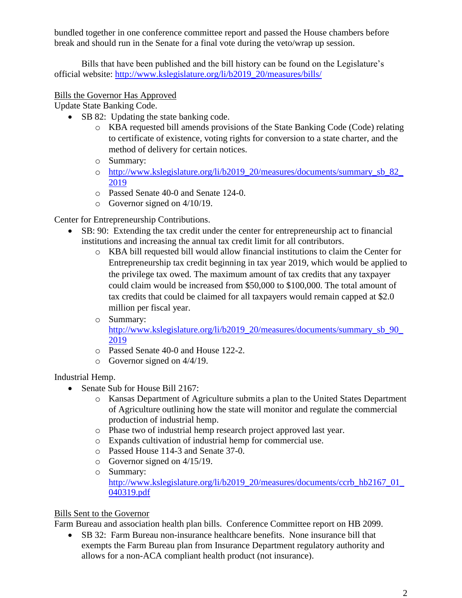bundled together in one conference committee report and passed the House chambers before break and should run in the Senate for a final vote during the veto/wrap up session.

Bills that have been published and the bill history can be found on the Legislature's official website: [http://www.kslegislature.org/li/b2019\\_20/measures/bills/](http://www.kslegislature.org/li/b2019_20/measures/bills/)

## Bills the Governor Has Approved

Update State Banking Code.

- SB 82: Updating the state banking code.
	- o KBA requested bill amends provisions of the State Banking Code (Code) relating to certificate of existence, voting rights for conversion to a state charter, and the method of delivery for certain notices.
	- o Summary:
	- o [http://www.kslegislature.org/li/b2019\\_20/measures/documents/summary\\_sb\\_82\\_](http://www.kslegislature.org/li/b2019_20/measures/documents/summary_sb_82_2019) [2019](http://www.kslegislature.org/li/b2019_20/measures/documents/summary_sb_82_2019)
	- o Passed Senate 40-0 and Senate 124-0.
	- o Governor signed on 4/10/19.

Center for Entrepreneurship Contributions.

- SB: 90: Extending the tax credit under the center for entrepreneurship act to financial institutions and increasing the annual tax credit limit for all contributors.
	- o KBA bill requested bill would allow financial institutions to claim the Center for Entrepreneurship tax credit beginning in tax year 2019, which would be applied to the privilege tax owed. The maximum amount of tax credits that any taxpayer could claim would be increased from \$50,000 to \$100,000. The total amount of tax credits that could be claimed for all taxpayers would remain capped at \$2.0 million per fiscal year.
	- o Summary: [http://www.kslegislature.org/li/b2019\\_20/measures/documents/summary\\_sb\\_90\\_](http://www.kslegislature.org/li/b2019_20/measures/documents/summary_sb_90_2019) [2019](http://www.kslegislature.org/li/b2019_20/measures/documents/summary_sb_90_2019)
	- o Passed Senate 40-0 and House 122-2.
	- o Governor signed on 4/4/19.

Industrial Hemp.

- Senate Sub for House Bill 2167:
	- o Kansas Department of Agriculture submits a plan to the United States Department of Agriculture outlining how the state will monitor and regulate the commercial production of industrial hemp.
	- o Phase two of industrial hemp research project approved last year.
	- o Expands cultivation of industrial hemp for commercial use.
	- o Passed House 114-3 and Senate 37-0.
	- o Governor signed on 4/15/19.
	- o Summary: http://www.kslegislature.org/li/b2019\_20/measures/documents/ccrb\_hb2167\_01 [040319.pdf](http://www.kslegislature.org/li/b2019_20/measures/documents/ccrb_hb2167_01_040319.pdf)

#### Bills Sent to the Governor

Farm Bureau and association health plan bills. Conference Committee report on HB 2099.

• SB 32: Farm Bureau non-insurance healthcare benefits. None insurance bill that exempts the Farm Bureau plan from Insurance Department regulatory authority and allows for a non-ACA compliant health product (not insurance).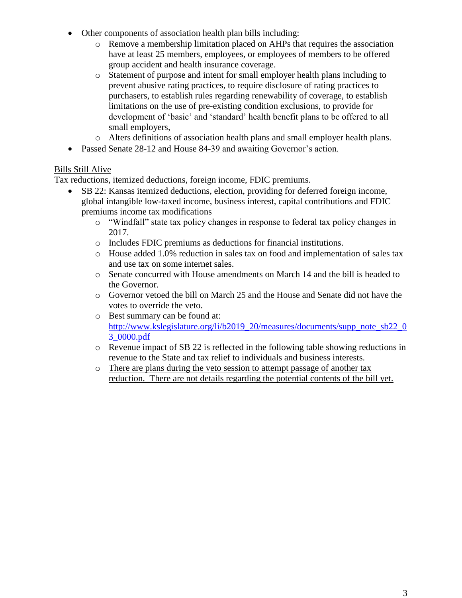- Other components of association health plan bills including:
	- o Remove a membership limitation placed on AHPs that requires the association have at least 25 members, employees, or employees of members to be offered group accident and health insurance coverage.
	- o Statement of purpose and intent for small employer health plans including to prevent abusive rating practices, to require disclosure of rating practices to purchasers, to establish rules regarding renewability of coverage, to establish limitations on the use of pre-existing condition exclusions, to provide for development of 'basic' and 'standard' health benefit plans to be offered to all small employers,
	- o Alters definitions of association health plans and small employer health plans.
- Passed Senate 28-12 and House 84-39 and awaiting Governor's action.

### Bills Still Alive

Tax reductions, itemized deductions, foreign income, FDIC premiums.

- SB 22: Kansas itemized deductions, election, providing for deferred foreign income, global intangible low-taxed income, business interest, capital contributions and FDIC premiums income tax modifications
	- o "Windfall" state tax policy changes in response to federal tax policy changes in 2017.
	- o Includes FDIC premiums as deductions for financial institutions.
	- o House added 1.0% reduction in sales tax on food and implementation of sales tax and use tax on some internet sales.
	- o Senate concurred with House amendments on March 14 and the bill is headed to the Governor.
	- o Governor vetoed the bill on March 25 and the House and Senate did not have the votes to override the veto.
	- o Best summary can be found at: [http://www.kslegislature.org/li/b2019\\_20/measures/documents/supp\\_note\\_sb22\\_0](http://www.kslegislature.org/li/b2019_20/measures/documents/supp_note_sb22_03_0000.pdf) [3\\_0000.pdf](http://www.kslegislature.org/li/b2019_20/measures/documents/supp_note_sb22_03_0000.pdf)
	- $\circ$  Revenue impact of SB 22 is reflected in the following table showing reductions in revenue to the State and tax relief to individuals and business interests.
	- o There are plans during the veto session to attempt passage of another tax reduction. There are not details regarding the potential contents of the bill yet.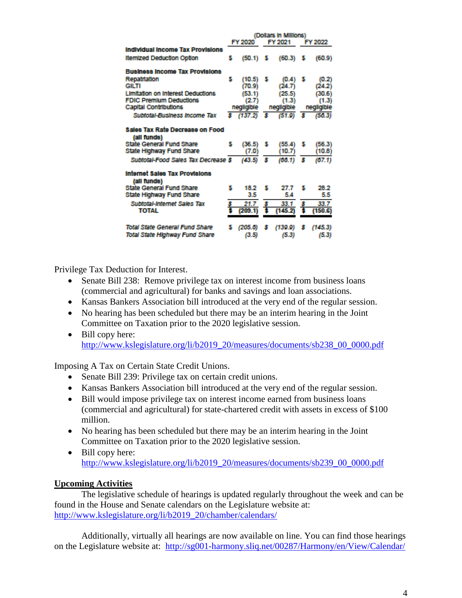|                                                | (Dollars in Millions) |            |         |            |         |            |
|------------------------------------------------|-----------------------|------------|---------|------------|---------|------------|
|                                                | FY 2020               |            | FY 2021 |            | FY 2022 |            |
| <b>Individual Income Tax Provisions</b>        |                       |            |         |            |         |            |
| <b>Itemized Deduction Option</b>               | s                     | (50.1)     | s       | (60.3)     | s       | (60.9)     |
| <b>Business income Tax Provisions</b>          |                       |            |         |            |         |            |
| Repatriation                                   | s                     | (10.5)     | s       | (0.4)      | 5       | (0.2)      |
| GILTI                                          |                       | (70.9)     |         | (24.7)     |         | (24.2)     |
| <b>Limitation on Interest Deductions</b>       |                       | (53.1)     |         | (25.5)     |         | (30.6)     |
| <b>FDIC Premium Deductions</b>                 |                       | (2.7)      |         | (1.3)      |         | (1.3)      |
| <b>Capital Contributions</b>                   |                       | negligible |         | negligible |         | negligible |
| Subtotal-Business Income Tax                   | s.                    | (137.2)    | s       | (51.9)     | s       | (50.3)     |
| Sales Tax Rate Decrease on Food<br>(all funds) |                       |            |         |            |         |            |
| <b>State General Fund Share</b>                | s                     | (36.5)     | s       | (55.4)     | s       | (56.3)     |
| State Highway Fund Share                       |                       | (7.0)      |         | (10.7)     |         | (10.8)     |
| Subtotal-Food Sales Tax Decrease \$            |                       | (43.5)     | s       | (00.1)     | s       | (67.1)     |
| Internet Sales Tax Provisions<br>(all funds)   |                       |            |         |            |         |            |
| <b>State General Fund Share</b>                | s                     | 18.2       | s       | 27.7       | s       | 28.2       |
| State Highway Fund Share                       |                       | 3.5        |         | 5.4        |         | 5.5        |
| Subtotal-Internet Sales Tax                    | s                     | 21.7       | s       | 33.1       | s       | 33.7       |
| <b>TOTAL</b>                                   |                       | (209.1)    |         | (145.2)    |         | (150.G)    |
| Total State General Fund Share                 |                       | (205.6)    | s       | (139.9)    | s       | (145.3)    |
| Total State Highway Fund Share                 |                       | (3.5)      |         | (5.3)      |         | (5.3)      |
|                                                |                       |            |         |            |         |            |

Privilege Tax Deduction for Interest.

- Senate Bill 238: Remove privilege tax on interest income from business loans (commercial and agricultural) for banks and savings and loan associations.
- Kansas Bankers Association bill introduced at the very end of the regular session.
- No hearing has been scheduled but there may be an interim hearing in the Joint Committee on Taxation prior to the 2020 legislative session.
- Bill copy here: [http://www.kslegislature.org/li/b2019\\_20/measures/documents/sb238\\_00\\_0000.pdf](http://www.kslegislature.org/li/b2019_20/measures/documents/sb238_00_0000.pdf)

Imposing A Tax on Certain State Credit Unions.

- Senate Bill 239: Privilege tax on certain credit unions.
- Kansas Bankers Association bill introduced at the very end of the regular session.
- Bill would impose privilege tax on interest income earned from business loans (commercial and agricultural) for state-chartered credit with assets in excess of \$100 million.
- No hearing has been scheduled but there may be an interim hearing in the Joint Committee on Taxation prior to the 2020 legislative session.
- Bill copy here: [http://www.kslegislature.org/li/b2019\\_20/measures/documents/sb239\\_00\\_0000.pdf](http://www.kslegislature.org/li/b2019_20/measures/documents/sb239_00_0000.pdf)

#### **Upcoming Activities**

The legislative schedule of hearings is updated regularly throughout the week and can be found in the House and Senate calendars on the Legislature website at: [http://www.kslegislature.org/li/b2019\\_20/chamber/calendars/](http://www.kslegislature.org/li/b2019_20/chamber/calendars/)

Additionally, virtually all hearings are now available on line. You can find those hearings on the Legislature website at: <http://sg001-harmony.sliq.net/00287/Harmony/en/View/Calendar/>